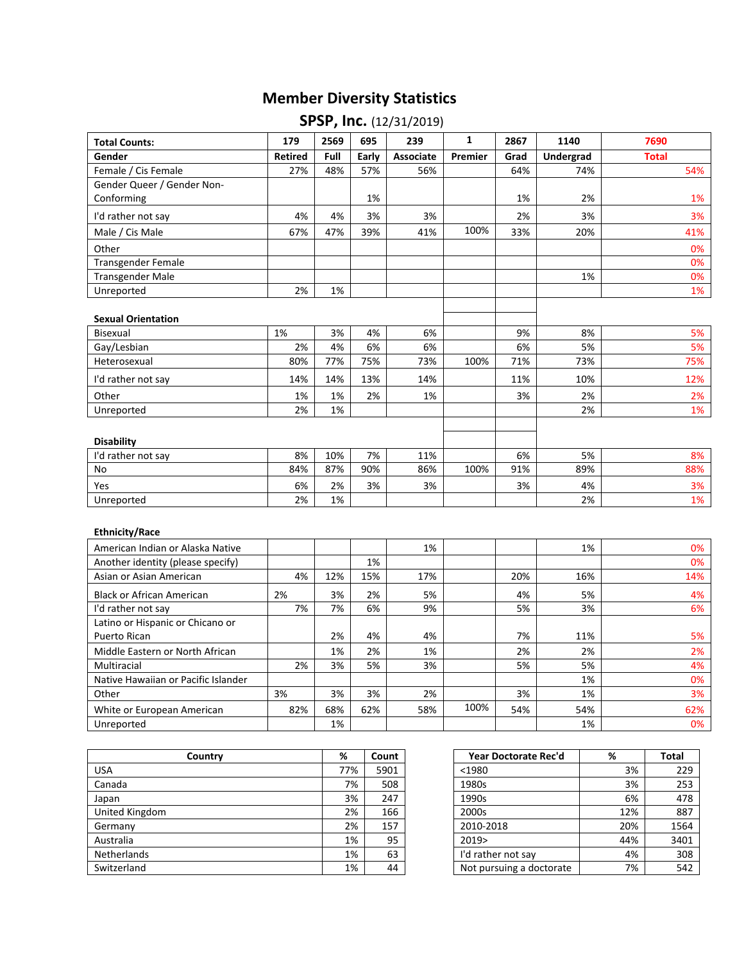## **Member Diversity Statistics**

| <b>Total Counts:</b>       | 179            | 2569 | 695   | 239       | $\mathbf{1}$ | 2867 | 1140             | 7690         |
|----------------------------|----------------|------|-------|-----------|--------------|------|------------------|--------------|
| Gender                     | <b>Retired</b> | Full | Early | Associate | Premier      | Grad | <b>Undergrad</b> | <b>Total</b> |
| Female / Cis Female        | 27%            | 48%  | 57%   | 56%       |              | 64%  | 74%              | 54%          |
| Gender Queer / Gender Non- |                |      |       |           |              |      |                  |              |
| Conforming                 |                |      | 1%    |           |              | 1%   | 2%               | 1%           |
| I'd rather not say         | 4%             | 4%   | 3%    | 3%        |              | 2%   | 3%               | 3%           |
| Male / Cis Male            | 67%            | 47%  | 39%   | 41%       | 100%         | 33%  | 20%              | 41%          |
| Other                      |                |      |       |           |              |      |                  | 0%           |
| <b>Transgender Female</b>  |                |      |       |           |              |      |                  | 0%           |
| Transgender Male           |                |      |       |           |              |      | 1%               | 0%           |
| Unreported                 | 2%             | 1%   |       |           |              |      |                  | 1%           |
| <b>Sexual Orientation</b>  |                |      |       |           |              |      |                  |              |
| Bisexual                   | 1%             | 3%   | 4%    | 6%        |              | 9%   | 8%               | 5%           |
| Gay/Lesbian                | 2%             | 4%   | 6%    | 6%        |              | 6%   | 5%               | 5%           |
| Heterosexual               | 80%            | 77%  | 75%   | 73%       | 100%         | 71%  | 73%              | 75%          |
| I'd rather not say         | 14%            | 14%  | 13%   | 14%       |              | 11%  | 10%              | 12%          |
| Other                      | 1%             | 1%   | 2%    | 1%        |              | 3%   | 2%               | 2%           |
| Unreported                 | 2%             | 1%   |       |           |              |      | 2%               | 1%           |
| <b>Disability</b>          |                |      |       |           |              |      |                  |              |
| I'd rather not say         | 8%             | 10%  | 7%    | 11%       |              | 6%   | 5%               | 8%           |
| No                         | 84%            | 87%  | 90%   | 86%       | 100%         | 91%  | 89%              | 88%          |
| Yes                        | 6%             | 2%   | 3%    | 3%        |              | 3%   | 4%               | 3%           |
| Unreported                 | 2%             | 1%   |       |           |              |      | 2%               | 1%           |

## **SPSP, Inc.** (12/31/2019)

## **Ethnicity/Race**

| American Indian or Alaska Native    |     |     |     | 1%  |      |     | 1%  | 0%  |
|-------------------------------------|-----|-----|-----|-----|------|-----|-----|-----|
| Another identity (please specify)   |     |     | 1%  |     |      |     |     | 0%  |
| Asian or Asian American             | 4%  | 12% | 15% | 17% |      | 20% | 16% | 14% |
| <b>Black or African American</b>    | 2%  | 3%  | 2%  | 5%  |      | 4%  | 5%  | 4%  |
| I'd rather not say                  | 7%  | 7%  | 6%  | 9%  |      | 5%  | 3%  | 6%  |
| Latino or Hispanic or Chicano or    |     |     |     |     |      |     |     |     |
| Puerto Rican                        |     | 2%  | 4%  | 4%  |      | 7%  | 11% | 5%  |
| Middle Eastern or North African     |     | 1%  | 2%  | 1%  |      | 2%  | 2%  | 2%  |
| Multiracial                         | 2%  | 3%  | 5%  | 3%  |      | 5%  | 5%  | 4%  |
| Native Hawaiian or Pacific Islander |     |     |     |     |      |     | 1%  | 0%  |
| Other                               | 3%  | 3%  | 3%  | 2%  |      | 3%  | 1%  | 3%  |
| White or European American          | 82% | 68% | 62% | 58% | 100% | 54% | 54% | 62% |
| Unreported                          |     | 1%  |     |     |      |     | 1%  | 0%  |

| Country            | %   | Count | Year Doctorate Rec'd     | %   | <b>Total</b> |
|--------------------|-----|-------|--------------------------|-----|--------------|
| <b>USA</b>         | 77% | 5901  | $1980$                   | 3%  | 229          |
| Canada             | 7%  | 508   | 1980s                    | 3%  | 253          |
| Japan              | 3%  | 247   | 1990s                    | 6%  | 478          |
| United Kingdom     | 2%  | 166   | 2000s                    | 12% | 887          |
| Germany            | 2%  | 157   | 2010-2018                | 20% | 1564         |
| Australia          | 1%  | 95    | 2019>                    | 44% | 3401         |
| <b>Netherlands</b> | 1%  | 63    | I'd rather not say       | 4%  | 308          |
| Switzerland        | 1%  | 44    | Not pursuing a doctorate | 7%  | 542          |

| Country | %   | Count | Year Doctorate Rec'd     | %   | <b>Total</b> |
|---------|-----|-------|--------------------------|-----|--------------|
|         | 77% | 5901  | $1980$                   | 3%  | 229          |
|         | 7%  | 508   | 1980s                    | 3%  | 253          |
|         | 3%  | 247   | 1990s                    | 6%  | 478          |
|         | 2%  | 166   | 2000s                    | 12% | 887          |
|         | 2%  | 157   | 2010-2018                | 20% | 1564         |
|         | 1%  | 95    | 2019                     | 44% | 3401         |
|         | 1%  | 63    | I'd rather not say       | 4%  | 308          |
|         | 1%  | 44    | Not pursuing a doctorate | 7%  | 542          |